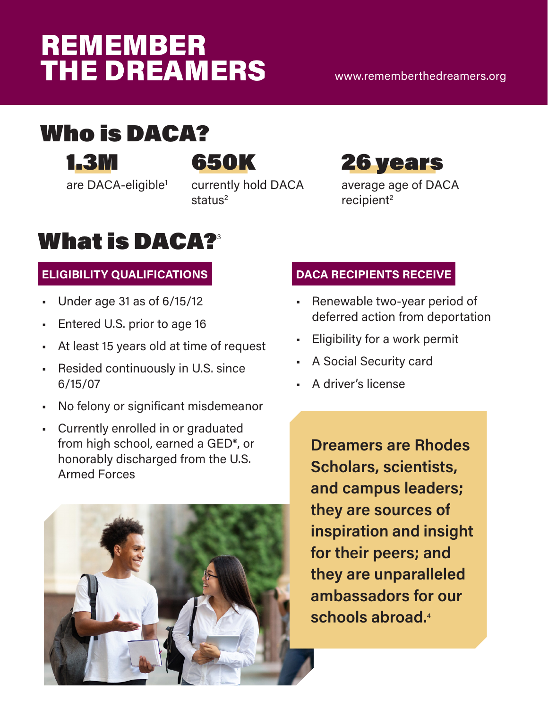# <span id="page-0-0"></span>**REMEMBER THE DREAMERS**

[www.rememberthedreamers.org](http://www.rememberthedreamers.org)

## Who is DACA?

[1.3M](https://www.fwd.us/news/daca-facts/)

[are DACA-eligible](https://www.fwd.us/news/daca-facts/)<sup>[1](#page-2-0)</sup>



currently hold DACA status<sup>[2](#page-2-0)</sup>



average age of DACA recipient<sup>2</sup>

## **What is DAC[A?](https://www.uscis.gov/archive/consideration-deferred-action-childhood-arrivals-daca)**

#### **ELIGIBILITY QUALIFICATIONS**

- Under age 31 as of 6/15/12
- Entered U.S. prior to age 16
- At least 15 years old at time of request
- Resided continuously in U.S. since 6/15/07
- No felony or significant misdemeanor
- Currently enrolled in or graduated from high school, earned a GED®, or honorably discharged from the U.S. Armed Forces



#### **DACA RECIPIENTS RECEIVE**

- Renewable two-year period of deferred action from deportation
- Eligibility for a work permit
- A Social Security card
- A driver's license

**Dreamers are Rhodes Scholars, scientists, and campus leaders; they are sources of inspiration and insight for their peers; and they are unparalleled ambassadors for our schools abroad.**[4](#page-2-0)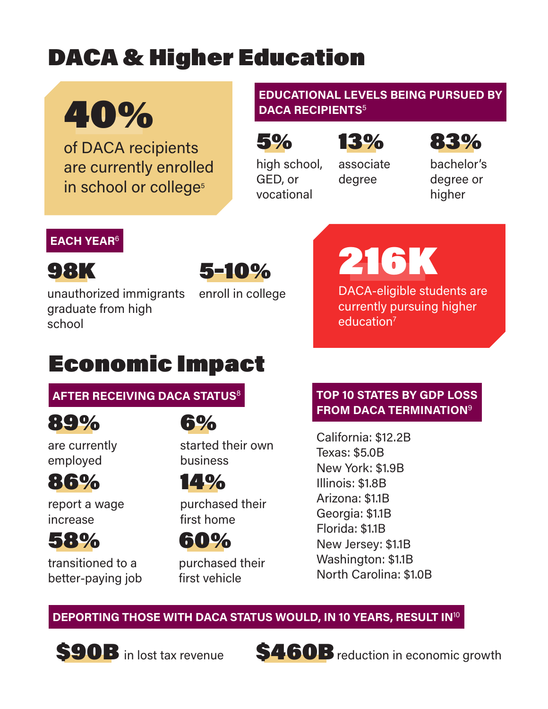# <span id="page-1-0"></span>DACA & Higher Education

# 40%

of DACA recipients are currently enrolled in school or college<sup>[5](#page-2-0)</sup>

#### **EDUCATIONAL LEVELS BEING PURSUED BY DACA RECIPIENTS**<sup>5</sup>

5%

GED, or vocational

high school,

### 13%

associate degree



bachelor's degree or higher

#### **EACH YEAR**[6](#page-2-0)

98K

unauthorized immigrants graduate from high school

5–10%

enroll in college

# 216K

DACA-eligible students are currently pursuing higher education<sup>7</sup>

## Economic Impact

#### **[AFTER RECEIVING DACA STATUS](https://www.americanprogress.org/issues/immigration/news/2019/09/19/474636/daca-recipients-livelihoods-families-sense-security-stake-november/)**[8](#page-2-0)



6%

are currently employed

## 86%

report a wage increase



transitioned to a better-paying job

started their own business

14%

purchased their first home

60%

purchased their first vehicle

#### **[TOP 10 STATES BY GDP LOSS](https://www.americanprogress.org/issues/immigration/news/2019/09/12/474422/know-daca-recipients-state/)  [FROM DACA TERMINATION](https://www.americanprogress.org/issues/immigration/news/2019/09/12/474422/know-daca-recipients-state/)**[9](#page-2-0)

California: \$12.2B Texas: \$5.0B New York: \$1.9B Illinois: \$1.8B Arizona: \$1.1B Georgia: \$1.1B Florida: \$1.1B New Jersey: \$1.1B Washington: \$1.1B North Carolina: \$1.0B

**DEPORTING THOSE WITH DACA STATUS WOULD, IN 10 YEARS, RESULT IN**[10](#page-2-0)





S460B reduction in economic growth